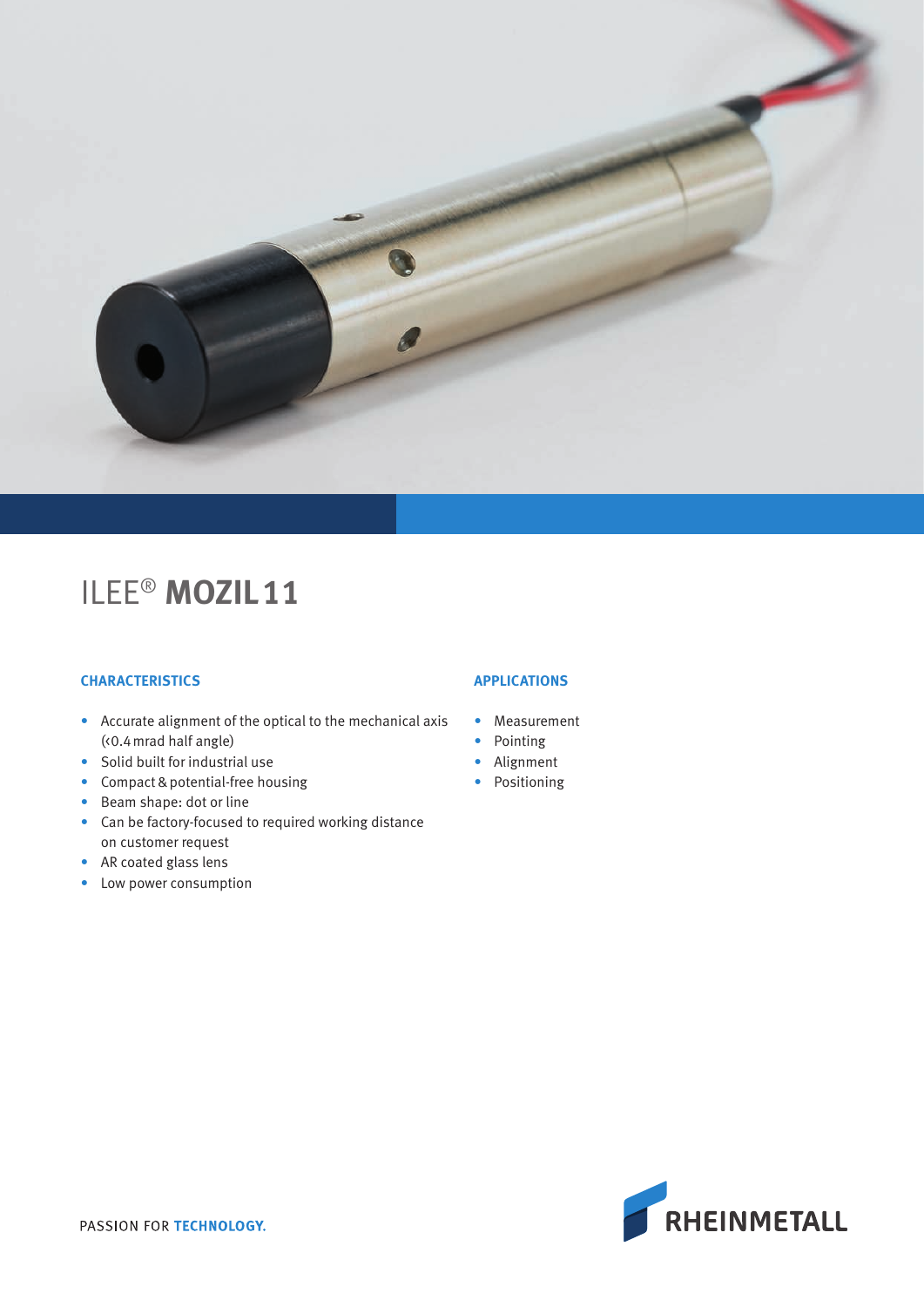

## ILEE® **MOZIL11**

#### **CHARACTERISTICS**

- Accurate alignment of the optical to the mechanical axis (<0.4mrad half angle)
- Solid built for industrial use
- Compact & potential-free housing
- Beam shape: dot or line
- Can be factory-focused to required working distance on customer request
- AR coated glass lens
- Low power consumption

### **APPLICATIONS**

- Measurement
- Pointing
- Alignment
- Positioning